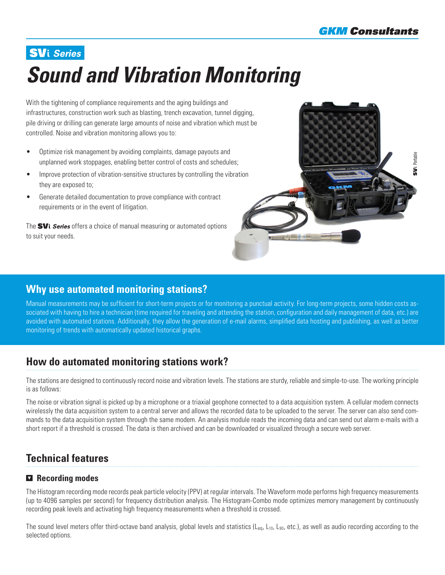# **SVi** Series *Sound and Vibration Monitoring*

With the tightening of compliance requirements and the aging buildings and infrastructures, construction work such as blasting, trench excavation, tunnel digging, pile driving or drilling can generate large amounts of noise and vibration which must be controlled. Noise and vibration monitoring allows you to:

- Optimize risk management by avoiding complaints, damage payouts and unplanned work stoppages, enabling better control of costs and schedules;
- Improve protection of vibration-sensitive structures by controlling the vibration they are exposed to;
- Generate detailed documentation to prove compliance with contract requirements or in the event of litigation.

The  $SVi$  Series offers a choice of manual measuring or automated options to suit your needs.



## **Why use automated monitoring stations?**

Manual measurements may be sufficient for short-term projects or for monitoring a punctual activity. For long-term projects, some hidden costs associated with having to hire a technician (time required for traveling and attending the station, configuration and daily management of data, etc.) are avoided with automated stations. Additionally, they allow the generation of e-mail alarms, simplified data hosting and publishing, as well as better monitoring of trends with automatically updated historical graphs.

## **How do automated monitoring stations work?**

The stations are designed to continuously record noise and vibration levels. The stations are sturdy, reliable and simple-to-use. The working principle is as follows:

The noise or vibration signal is picked up by a microphone or a triaxial geophone connected to a data acquisition system. A cellular modem connects wirelessly the data acquisition system to a central server and allows the recorded data to be uploaded to the server. The server can also send commands to the data acquisition system through the same modem. An analysis module reads the incoming data and can send out alarm e-mails with a short report if a threshold is crossed. The data is then archived and can be downloaded or visualized through a secure web server.

# **Technical features**

## **Recording modes**

The Histogram recording mode records peak particle velocity (PPV) at regular intervals. The Waveform mode performs high frequency measurements (up to 4096 samples per second) for frequency distribution analysis. The Histogram-Combo mode optimizes memory management by continuously recording peak levels and activating high frequency measurements when a threshold is crossed.

The sound level meters offer third-octave band analysis, global levels and statistics ( $L_{eq}$ ,  $L_{10}$ ,  $L_{90}$ , etc.), as well as audio recording according to the selected options.